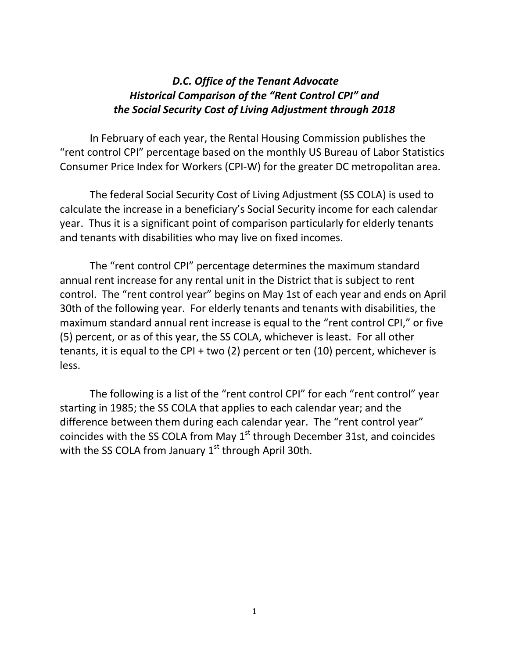## *D.C. Office of the Tenant Advocate Historical Comparison of the "Rent Control CPI" and the Social Security Cost of Living Adjustment through 2018*

In February of each year, the Rental Housing Commission publishes the "rent control CPI" percentage based on the monthly US Bureau of Labor Statistics Consumer Price Index for Workers (CPI-W) for the greater DC metropolitan area.

The federal Social Security Cost of Living Adjustment (SS COLA) is used to calculate the increase in a beneficiary's Social Security income for each calendar year. Thus it is a significant point of comparison particularly for elderly tenants and tenants with disabilities who may live on fixed incomes.

The "rent control CPI" percentage determines the maximum standard annual rent increase for any rental unit in the District that is subject to rent control. The "rent control year" begins on May 1st of each year and ends on April 30th of the following year. For elderly tenants and tenants with disabilities, the maximum standard annual rent increase is equal to the "rent control CPI," or five (5) percent, or as of this year, the SS COLA, whichever is least. For all other tenants, it is equal to the CPI + two (2) percent or ten (10) percent, whichever is less.

The following is a list of the "rent control CPI" for each "rent control" year starting in 1985; the SS COLA that applies to each calendar year; and the difference between them during each calendar year. The "rent control year" coincides with the SS COLA from May  $1<sup>st</sup>$  through December 31st, and coincides with the SS COLA from January  $1<sup>st</sup>$  through April 30th.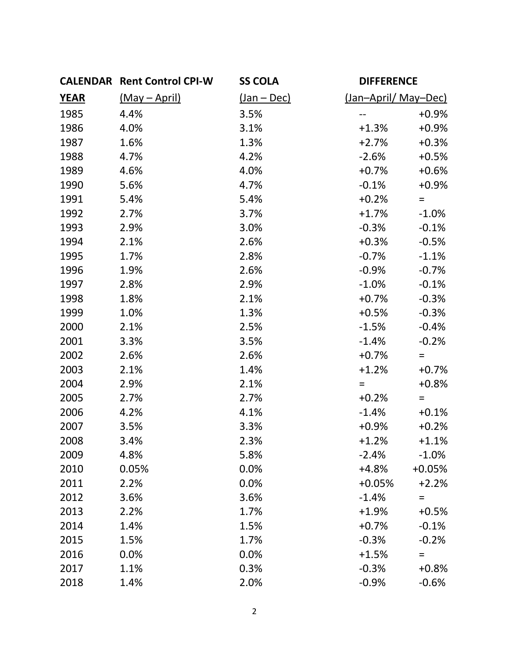|             | <b>CALENDAR Rent Control CPI-W</b> | <b>SS COLA</b>     | <b>DIFFERENCE</b>          |
|-------------|------------------------------------|--------------------|----------------------------|
| <b>YEAR</b> | <u>(May – April)</u>               | <u>(Jan – Dec)</u> | (Jan-April/ May-Dec)       |
| 1985        | 4.4%                               | 3.5%               | $+0.9%$                    |
| 1986        | 4.0%                               | 3.1%               | $+0.9%$<br>$+1.3%$         |
| 1987        | 1.6%                               | 1.3%               | $+2.7%$<br>$+0.3%$         |
| 1988        | 4.7%                               | 4.2%               | $-2.6%$<br>$+0.5%$         |
| 1989        | 4.6%                               | 4.0%               | $+0.7%$<br>$+0.6%$         |
| 1990        | 5.6%                               | 4.7%               | $-0.1%$<br>$+0.9%$         |
| 1991        | 5.4%                               | 5.4%               | $+0.2%$<br>$\quad \  \  =$ |
| 1992        | 2.7%                               | 3.7%               | $+1.7%$<br>$-1.0%$         |
| 1993        | 2.9%                               | 3.0%               | $-0.3%$<br>$-0.1%$         |
| 1994        | 2.1%                               | 2.6%               | $+0.3%$<br>$-0.5%$         |
| 1995        | 1.7%                               | 2.8%               | $-0.7%$<br>$-1.1%$         |
| 1996        | 1.9%                               | 2.6%               | $-0.9%$<br>$-0.7%$         |
| 1997        | 2.8%                               | 2.9%               | $-1.0%$<br>$-0.1%$         |
| 1998        | 1.8%                               | 2.1%               | $+0.7%$<br>$-0.3%$         |
| 1999        | 1.0%                               | 1.3%               | $+0.5%$<br>$-0.3%$         |
| 2000        | 2.1%                               | 2.5%               | $-1.5%$<br>$-0.4%$         |
| 2001        | 3.3%                               | 3.5%               | $-1.4%$<br>$-0.2%$         |
| 2002        | 2.6%                               | 2.6%               | $+0.7%$<br>$=$             |
| 2003        | 2.1%                               | 1.4%               | $+1.2%$<br>$+0.7%$         |
| 2004        | 2.9%                               | 2.1%               | $+0.8%$<br>$=$             |
| 2005        | 2.7%                               | 2.7%               | $+0.2%$<br>$=$             |
| 2006        | 4.2%                               | 4.1%               | $-1.4%$<br>$+0.1%$         |
| 2007        | 3.5%                               | 3.3%               | $+0.9%$<br>$+0.2%$         |
| 2008        | 3.4%                               | 2.3%               | $+1.2%$<br>$+1.1%$         |
| 2009        | 4.8%                               | 5.8%               | $-2.4%$<br>$-1.0%$         |
| 2010        | 0.05%                              | 0.0%               | +4.8%<br>$+0.05%$          |
| 2011        | 2.2%                               | 0.0%               | $+2.2%$<br>$+0.05%$        |
| 2012        | 3.6%                               | 3.6%               | $-1.4%$<br>$=$             |
| 2013        | 2.2%                               | 1.7%               | $+1.9%$<br>$+0.5%$         |
| 2014        | 1.4%                               | 1.5%               | $+0.7%$<br>$-0.1%$         |
| 2015        | 1.5%                               | 1.7%               | $-0.3%$<br>$-0.2%$         |
| 2016        | 0.0%                               | 0.0%               | $+1.5%$<br>$=$             |
| 2017        | 1.1%                               | 0.3%               | $-0.3%$<br>$+0.8%$         |
| 2018        | 1.4%                               | 2.0%               | $-0.6%$<br>$-0.9%$         |